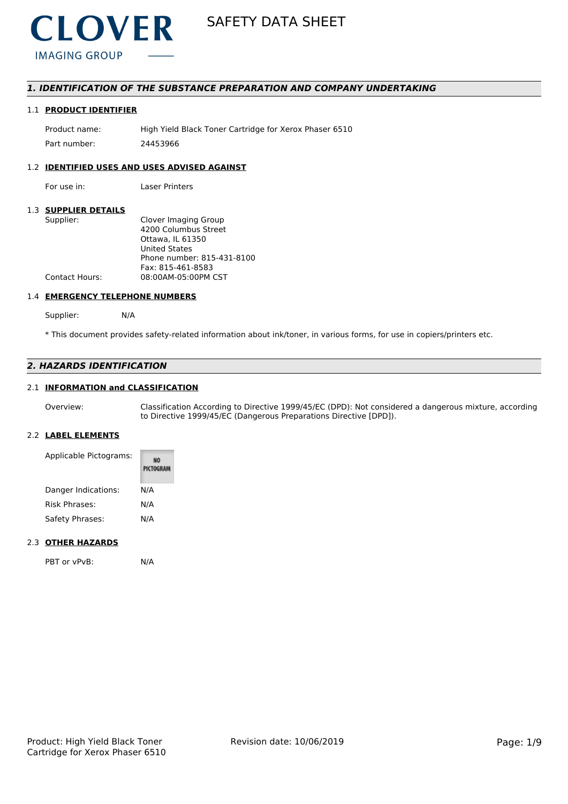

### *1. IDENTIFICATION OF THE SUBSTANCE PREPARATION AND COMPANY UNDERTAKING*

### 1.1 **PRODUCT IDENTIFIER**

Product name: High Yield Black Toner Cartridge for Xerox Phaser 6510 Part number: 24453966

#### 1.2 **IDENTIFIED USES AND USES ADVISED AGAINST**

For use in: Laser Printers

#### 1.3 **SUPPLIER DETAILS**

| Supplier:             | Clover Imaging Group       |
|-----------------------|----------------------------|
|                       | 4200 Columbus Street       |
|                       | Ottawa. IL 61350           |
|                       | <b>United States</b>       |
|                       | Phone number: 815-431-8100 |
|                       | Fax: 815-461-8583          |
| <b>Contact Hours:</b> | 08:00AM-05:00PM CST        |
|                       |                            |

### 1.4 **EMERGENCY TELEPHONE NUMBERS**

Supplier: N/A

\* This document provides safety-related information about ink/toner, in various forms, for use in copiers/printers etc.

### *2. HAZARDS IDENTIFICATION*

### 2.1 **INFORMATION and CLASSIFICATION**

Overview: Classification According to Directive 1999/45/EC (DPD): Not considered a dangerous mixture, according to Directive 1999/45/EC (Dangerous Preparations Directive [DPD]).

### 2.2 **LABEL ELEMENTS**

| Applicable Pictograms: | PICTOGRAM |
|------------------------|-----------|
| Danger Indications:    | N/A       |
| Risk Phrases:          | N/A       |
| Safety Phrases:        | N/A       |

### 2.3 **OTHER HAZARDS**

PBT or vPvB: N/A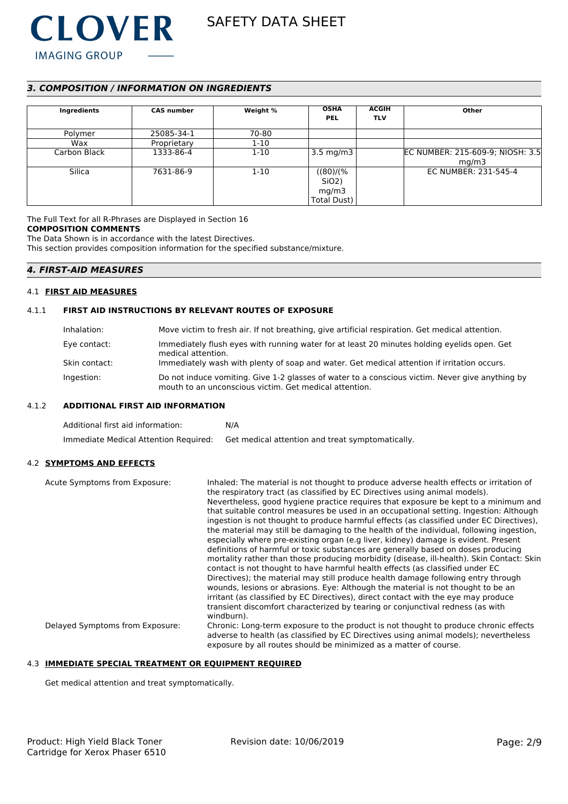

### *3. COMPOSITION / INFORMATION ON INGREDIENTS*

| Ingredients  | <b>CAS number</b> | Weight % | <b>OSHA</b><br><b>PEL</b> | <b>ACGIH</b><br><b>TLV</b> | Other                            |
|--------------|-------------------|----------|---------------------------|----------------------------|----------------------------------|
|              |                   |          |                           |                            |                                  |
| Polymer      | 25085-34-1        | 70-80    |                           |                            |                                  |
| Wax          | Proprietary       | $1 - 10$ |                           |                            |                                  |
| Carbon Black | 1333-86-4         | $1 - 10$ | 3.5 mg/m $3$              |                            | EC NUMBER: 215-609-9; NIOSH: 3.5 |
|              |                   |          |                           |                            | mq/m3                            |
| Silica       | 7631-86-9         | $1 - 10$ | $((80)/\sqrt{2})$         |                            | EC NUMBER: 231-545-4             |
|              |                   |          | SiO <sub>2</sub> )        |                            |                                  |
|              |                   |          | mg/m3                     |                            |                                  |
|              |                   |          | Total Dust)               |                            |                                  |

The Full Text for all R-Phrases are Displayed in Section 16 **COMPOSITION COMMENTS**

The Data Shown is in accordance with the latest Directives.

This section provides composition information for the specified substance/mixture.

### *4. FIRST-AID MEASURES*

#### 4.1 **FIRST AID MEASURES**

#### 4.1.1 **FIRST AID INSTRUCTIONS BY RELEVANT ROUTES OF EXPOSURE**

| Inhalation:   | Move victim to fresh air. If not breathing, give artificial respiration. Get medical attention.                                                           |
|---------------|-----------------------------------------------------------------------------------------------------------------------------------------------------------|
| Eye contact:  | Immediately flush eyes with running water for at least 20 minutes holding eyelids open. Get<br>medical attention.                                         |
| Skin contact: | Immediately wash with plenty of soap and water. Get medical attention if irritation occurs.                                                               |
| Ingestion:    | Do not induce vomiting. Give 1-2 glasses of water to a conscious victim. Never give anything by<br>mouth to an unconscious victim. Get medical attention. |

### 4.1.2 **ADDITIONAL FIRST AID INFORMATION**

| Additional first aid information:     | N/A                                              |
|---------------------------------------|--------------------------------------------------|
| Immediate Medical Attention Required: | Get medical attention and treat symptomatically. |

#### 4.2 **SYMPTOMS AND EFFECTS**

| Acute Symptoms from Exposure:   | Inhaled: The material is not thought to produce adverse health effects or irritation of<br>the respiratory tract (as classified by EC Directives using animal models).<br>Nevertheless, good hygiene practice reguires that exposure be kept to a minimum and<br>that suitable control measures be used in an occupational setting. Ingestion: Although<br>ingestion is not thought to produce harmful effects (as classified under EC Directives),<br>the material may still be damaging to the health of the individual, following ingestion,<br>especially where pre-existing organ (e.g liver, kidney) damage is evident. Present<br>definitions of harmful or toxic substances are generally based on doses producing<br>mortality rather than those producing morbidity (disease, ill-health). Skin Contact: Skin<br>contact is not thought to have harmful health effects (as classified under EC<br>Directives); the material may still produce health damage following entry through<br>wounds, lesions or abrasions. Eye: Although the material is not thought to be an<br>irritant (as classified by EC Directives), direct contact with the eye may produce<br>transient discomfort characterized by tearing or conjunctival redness (as with<br>windburn). |
|---------------------------------|-------------------------------------------------------------------------------------------------------------------------------------------------------------------------------------------------------------------------------------------------------------------------------------------------------------------------------------------------------------------------------------------------------------------------------------------------------------------------------------------------------------------------------------------------------------------------------------------------------------------------------------------------------------------------------------------------------------------------------------------------------------------------------------------------------------------------------------------------------------------------------------------------------------------------------------------------------------------------------------------------------------------------------------------------------------------------------------------------------------------------------------------------------------------------------------------------------------------------------------------------------------------------|
| Delayed Symptoms from Exposure: | Chronic: Long-term exposure to the product is not thought to produce chronic effects<br>adverse to health (as classified by EC Directives using animal models); nevertheless<br>exposure by all routes should be minimized as a matter of course.                                                                                                                                                                                                                                                                                                                                                                                                                                                                                                                                                                                                                                                                                                                                                                                                                                                                                                                                                                                                                       |

#### 4.3 **IMMEDIATE SPECIAL TREATMENT OR EQUIPMENT REQUIRED**

Get medical attention and treat symptomatically.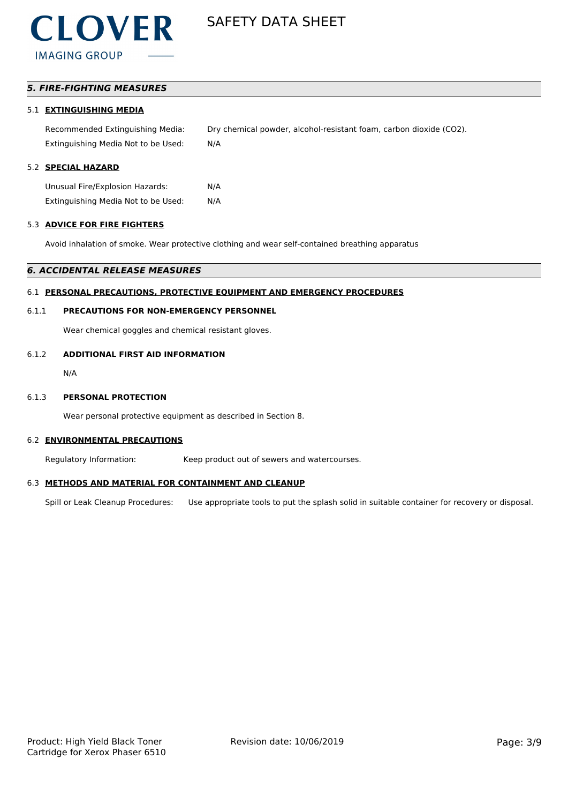### *5. FIRE-FIGHTING MEASURES*

### 5.1 **EXTINGUISHING MEDIA**

Recommended Extinguishing Media: Dry chemical powder, alcohol-resistant foam, carbon dioxide (CO2). Extinguishing Media Not to be Used: N/A

### 5.2 **SPECIAL HAZARD**

Unusual Fire/Explosion Hazards: N/A Extinguishing Media Not to be Used: N/A

#### 5.3 **ADVICE FOR FIRE FIGHTERS**

Avoid inhalation of smoke. Wear protective clothing and wear self-contained breathing apparatus

#### *6. ACCIDENTAL RELEASE MEASURES*

### 6.1 **PERSONAL PRECAUTIONS, PROTECTIVE EQUIPMENT AND EMERGENCY PROCEDURES**

### 6.1.1 **PRECAUTIONS FOR NON-EMERGENCY PERSONNEL**

Wear chemical goggles and chemical resistant gloves.

### 6.1.2 **ADDITIONAL FIRST AID INFORMATION**

N/A

### 6.1.3 **PERSONAL PROTECTION**

Wear personal protective equipment as described in Section 8.

#### 6.2 **ENVIRONMENTAL PRECAUTIONS**

Regulatory Information: Keep product out of sewers and watercourses.

#### 6.3 **METHODS AND MATERIAL FOR CONTAINMENT AND CLEANUP**

Spill or Leak Cleanup Procedures: Use appropriate tools to put the splash solid in suitable container for recovery or disposal.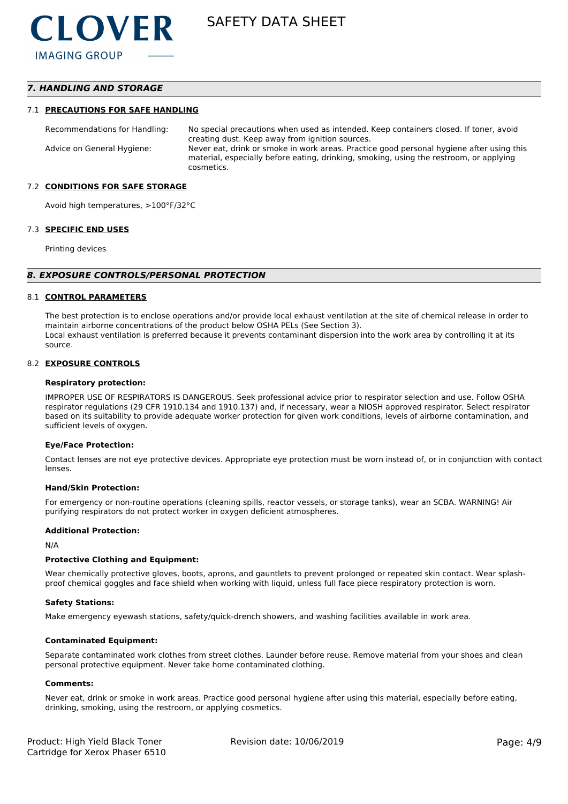### *7. HANDLING AND STORAGE*

#### 7.1 **PRECAUTIONS FOR SAFE HANDLING**

Recommendations for Handling: No special precautions when used as intended. Keep containers closed. If toner, avoid creating dust. Keep away from ignition sources. Advice on General Hygiene: Never eat, drink or smoke in work areas. Practice good personal hygiene after using this material, especially before eating, drinking, smoking, using the restroom, or applying cosmetics.

#### 7.2 **CONDITIONS FOR SAFE STORAGE**

Avoid high temperatures, >100°F/32°C

#### 7.3 **SPECIFIC END USES**

Printing devices

#### *8. EXPOSURE CONTROLS/PERSONAL PROTECTION*

#### 8.1 **CONTROL PARAMETERS**

The best protection is to enclose operations and/or provide local exhaust ventilation at the site of chemical release in order to maintain airborne concentrations of the product below OSHA PELs (See Section 3). Local exhaust ventilation is preferred because it prevents contaminant dispersion into the work area by controlling it at its source.

#### 8.2 **EXPOSURE CONTROLS**

#### **Respiratory protection:**

IMPROPER USE OF RESPIRATORS IS DANGEROUS. Seek professional advice prior to respirator selection and use. Follow OSHA respirator regulations (29 CFR 1910.134 and 1910.137) and, if necessary, wear a NIOSH approved respirator. Select respirator based on its suitability to provide adequate worker protection for given work conditions, levels of airborne contamination, and sufficient levels of oxygen.

#### **Eye/Face Protection:**

Contact lenses are not eye protective devices. Appropriate eye protection must be worn instead of, or in conjunction with contact lenses.

#### **Hand/Skin Protection:**

For emergency or non-routine operations (cleaning spills, reactor vessels, or storage tanks), wear an SCBA. WARNING! Air purifying respirators do not protect worker in oxygen deficient atmospheres.

#### **Additional Protection:**

N/A

#### **Protective Clothing and Equipment:**

Wear chemically protective gloves, boots, aprons, and gauntlets to prevent prolonged or repeated skin contact. Wear splashproof chemical goggles and face shield when working with liquid, unless full face piece respiratory protection is worn.

#### **Safety Stations:**

Make emergency eyewash stations, safety/quick-drench showers, and washing facilities available in work area.

#### **Contaminated Equipment:**

Separate contaminated work clothes from street clothes. Launder before reuse. Remove material from your shoes and clean personal protective equipment. Never take home contaminated clothing.

#### **Comments:**

Never eat, drink or smoke in work areas. Practice good personal hygiene after using this material, especially before eating, drinking, smoking, using the restroom, or applying cosmetics.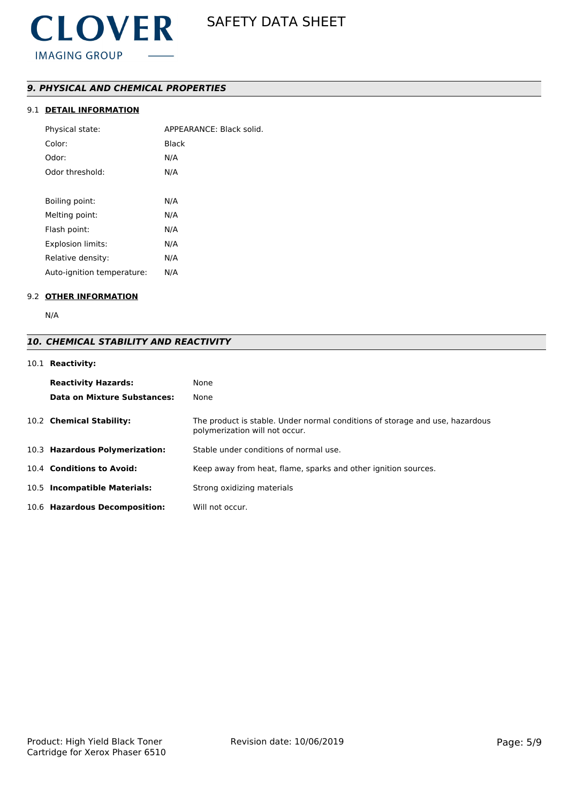### *9. PHYSICAL AND CHEMICAL PROPERTIES*

### 9.1 **DETAIL INFORMATION**

| Physical state:            | APPEARANCE: Black solid. |
|----------------------------|--------------------------|
| Color:                     | Black                    |
| Odor:                      | N/A                      |
| Odor threshold:            | N/A                      |
|                            |                          |
| Boiling point:             | N/A                      |
| Melting point:             | N/A                      |
| Flash point:               | N/A                      |
| <b>Explosion limits:</b>   | N/A                      |
| Relative density:          | N/A                      |
| Auto-ignition temperature: | N/A                      |

### 9.2 **OTHER INFORMATION**

N/A

## *10. CHEMICAL STABILITY AND REACTIVITY*

### 10.1 **Reactivity:**

| <b>Reactivity Hazards:</b><br>Data on Mixture Substances: | None<br>None                                                                                                   |
|-----------------------------------------------------------|----------------------------------------------------------------------------------------------------------------|
| 10.2 Chemical Stability:                                  | The product is stable. Under normal conditions of storage and use, hazardous<br>polymerization will not occur. |
| 10.3 Hazardous Polymerization:                            | Stable under conditions of normal use.                                                                         |
| 10.4 Conditions to Avoid:                                 | Keep away from heat, flame, sparks and other ignition sources.                                                 |
| 10.5 Incompatible Materials:                              | Strong oxidizing materials                                                                                     |
| 10.6 Hazardous Decomposition:                             | Will not occur.                                                                                                |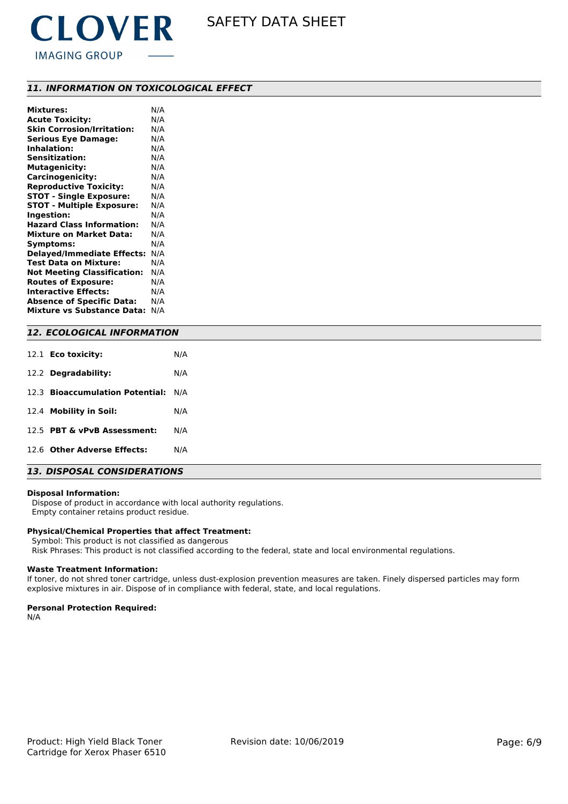

### *11. INFORMATION ON TOXICOLOGICAL EFFECT*

| <b>Mixtures:</b>                   | N/A |
|------------------------------------|-----|
| <b>Acute Toxicity:</b>             | N/A |
| <b>Skin Corrosion/Irritation:</b>  | N/A |
| <b>Serious Eye Damage:</b>         | N/A |
| <b>Inhalation:</b>                 | N/A |
| <b>Sensitization:</b>              | N/A |
| <b>Mutagenicity:</b>               | N/A |
| Carcinogenicity:                   | N/A |
| <b>Reproductive Toxicity:</b>      | N/A |
| <b>STOT - Single Exposure:</b>     | N/A |
| <b>STOT - Multiple Exposure:</b>   | N/A |
| Ingestion:                         | N/A |
| <b>Hazard Class Information:</b>   | N/A |
| <b>Mixture on Market Data:</b>     | N/A |
| Symptoms:                          | N/A |
| <b>Delayed/Immediate Effects:</b>  | N/A |
| <b>Test Data on Mixture:</b>       | N/A |
| <b>Not Meeting Classification:</b> | N/A |
| <b>Routes of Exposure:</b>         | N/A |
| <b>Interactive Effects:</b>        | N/A |
| <b>Absence of Specific Data:</b>   | N/A |
| Mixture vs Substance Data:         | N/A |

### *12. ECOLOGICAL INFORMATION*

| 12.1 <b>Eco toxicity:</b>           | N/A |  |  |
|-------------------------------------|-----|--|--|
| 12.2 Degradability:                 | N/A |  |  |
| 12.3 Bioaccumulation Potential: N/A |     |  |  |
| 12.4 Mobility in Soil:              | N/A |  |  |
| 12.5 PBT & vPvB Assessment:         | N/A |  |  |
| 12.6 Other Adverse Effects:         | N/A |  |  |
|                                     |     |  |  |

### *13. DISPOSAL CONSIDERATIONS*

#### **Disposal Information:**

 Dispose of product in accordance with local authority regulations. Empty container retains product residue.

### **Physical/Chemical Properties that affect Treatment:**

Symbol: This product is not classified as dangerous

Risk Phrases: This product is not classified according to the federal, state and local environmental regulations.

#### **Waste Treatment Information:**

If toner, do not shred toner cartridge, unless dust-explosion prevention measures are taken. Finely dispersed particles may form explosive mixtures in air. Dispose of in compliance with federal, state, and local regulations.

#### **Personal Protection Required:**

N/A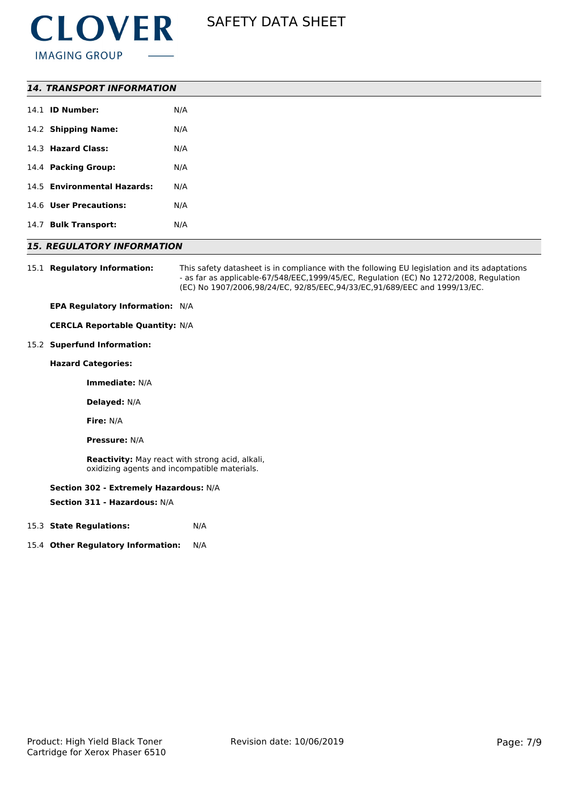

| <b>14. TRANSPORT INFORMATION</b> |     |
|----------------------------------|-----|
| 14.1 <b>ID Number:</b>           | N/A |
| 14.2 Shipping Name:              | N/A |
| 14.3 Hazard Class:               | N/A |
| 14.4 Packing Group:              | N/A |
| 14.5 Environmental Hazards:      | N/A |
| 14.6 User Precautions:           | N/A |
| 14.7 Bulk Transport:             | N/A |

### *15. REGULATORY INFORMATION*

15.1 **Regulatory Information:** This safety datasheet is in compliance with the following EU legislation and its adaptations - as far as applicable-67/548/EEC,1999/45/EC, Regulation (EC) No 1272/2008, Regulation (EC) No 1907/2006,98/24/EC, 92/85/EEC,94/33/EC,91/689/EEC and 1999/13/EC.

**EPA Regulatory Information:** N/A

**CERCLA Reportable Quantity:** N/A

#### 15.2 **Superfund Information:**

**Hazard Categories:**

**Immediate:** N/A

**Delayed:** N/A

**Fire:** N/A

**Pressure:** N/A

**Reactivity:** May react with strong acid, alkali, oxidizing agents and incompatible materials.

#### **Section 302 - Extremely Hazardous:** N/A

**Section 311 - Hazardous:** N/A

- 15.3 **State Regulations:** N/A
- 15.4 **Other Regulatory Information:** N/A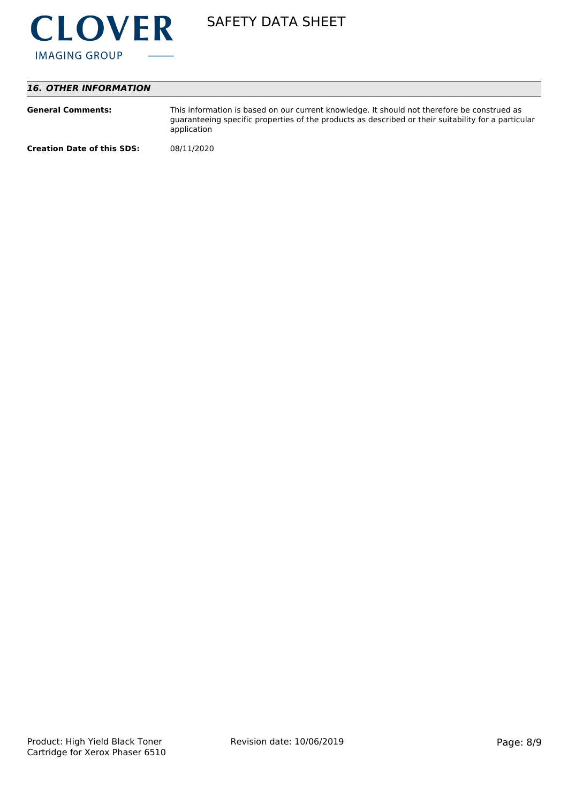

### *16. OTHER INFORMATION*

| <b>General Comments:</b>          | This information is based on our current knowledge. It should not therefore be construed as<br>guaranteeing specific properties of the products as described or their suitability for a particular<br>application |
|-----------------------------------|-------------------------------------------------------------------------------------------------------------------------------------------------------------------------------------------------------------------|
| <b>Creation Date of this SDS:</b> | 08/11/2020                                                                                                                                                                                                        |